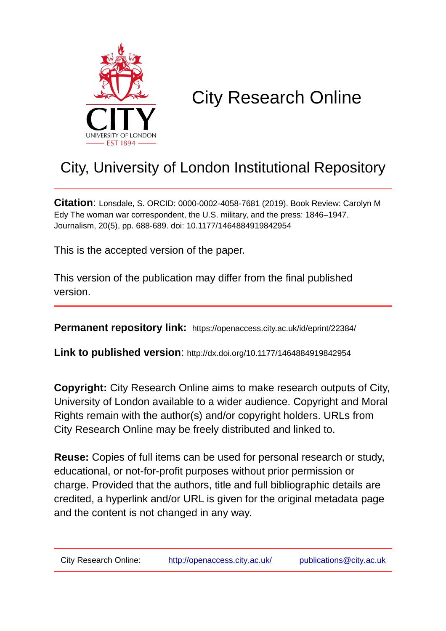

## City Research Online

## City, University of London Institutional Repository

**Citation**: Lonsdale, S. ORCID: 0000-0002-4058-7681 (2019). Book Review: Carolyn M Edy The woman war correspondent, the U.S. military, and the press: 1846–1947. Journalism, 20(5), pp. 688-689. doi: 10.1177/1464884919842954

This is the accepted version of the paper.

This version of the publication may differ from the final published version.

**Permanent repository link:** https://openaccess.city.ac.uk/id/eprint/22384/

**Link to published version**: http://dx.doi.org/10.1177/1464884919842954

**Copyright:** City Research Online aims to make research outputs of City, University of London available to a wider audience. Copyright and Moral Rights remain with the author(s) and/or copyright holders. URLs from City Research Online may be freely distributed and linked to.

**Reuse:** Copies of full items can be used for personal research or study, educational, or not-for-profit purposes without prior permission or charge. Provided that the authors, title and full bibliographic details are credited, a hyperlink and/or URL is given for the original metadata page and the content is not changed in any way.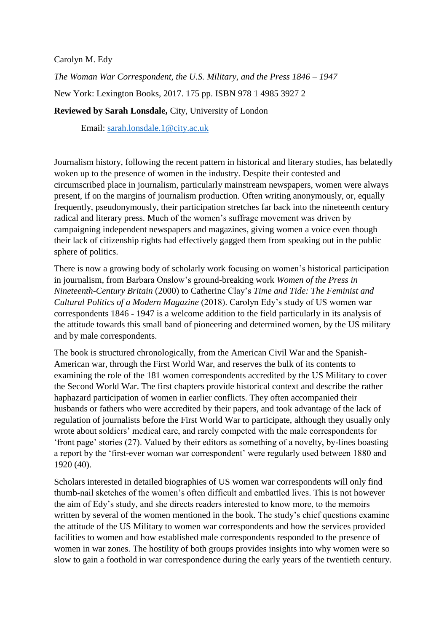Carolyn M. Edy

*The Woman War Correspondent, the U.S. Military, and the Press 1846 – 1947*

New York: Lexington Books, 2017. 175 pp. ISBN 978 1 4985 3927 2

**Reviewed by Sarah Lonsdale,** City, University of London

Email: [sarah.lonsdale.1@city.ac.uk](mailto:sarah.lonsdale.1@city.ac.uk)

Journalism history, following the recent pattern in historical and literary studies, has belatedly woken up to the presence of women in the industry. Despite their contested and circumscribed place in journalism, particularly mainstream newspapers, women were always present, if on the margins of journalism production. Often writing anonymously, or, equally frequently, pseudonymously, their participation stretches far back into the nineteenth century radical and literary press. Much of the women's suffrage movement was driven by campaigning independent newspapers and magazines, giving women a voice even though their lack of citizenship rights had effectively gagged them from speaking out in the public sphere of politics.

There is now a growing body of scholarly work focusing on women's historical participation in journalism, from Barbara Onslow's ground-breaking work *Women of the Press in Nineteenth-Century Britain* (2000) to Catherine Clay's *Time and Tide: The Feminist and Cultural Politics of a Modern Magazine* (2018). Carolyn Edy's study of US women war correspondents 1846 - 1947 is a welcome addition to the field particularly in its analysis of the attitude towards this small band of pioneering and determined women, by the US military and by male correspondents.

The book is structured chronologically, from the American Civil War and the Spanish-American war, through the First World War, and reserves the bulk of its contents to examining the role of the 181 women correspondents accredited by the US Military to cover the Second World War. The first chapters provide historical context and describe the rather haphazard participation of women in earlier conflicts. They often accompanied their husbands or fathers who were accredited by their papers, and took advantage of the lack of regulation of journalists before the First World War to participate, although they usually only wrote about soldiers' medical care, and rarely competed with the male correspondents for 'front page' stories (27). Valued by their editors as something of a novelty, by-lines boasting a report by the 'first-ever woman war correspondent' were regularly used between 1880 and 1920 (40).

Scholars interested in detailed biographies of US women war correspondents will only find thumb-nail sketches of the women's often difficult and embattled lives. This is not however the aim of Edy's study, and she directs readers interested to know more, to the memoirs written by several of the women mentioned in the book. The study's chief questions examine the attitude of the US Military to women war correspondents and how the services provided facilities to women and how established male correspondents responded to the presence of women in war zones. The hostility of both groups provides insights into why women were so slow to gain a foothold in war correspondence during the early years of the twentieth century.